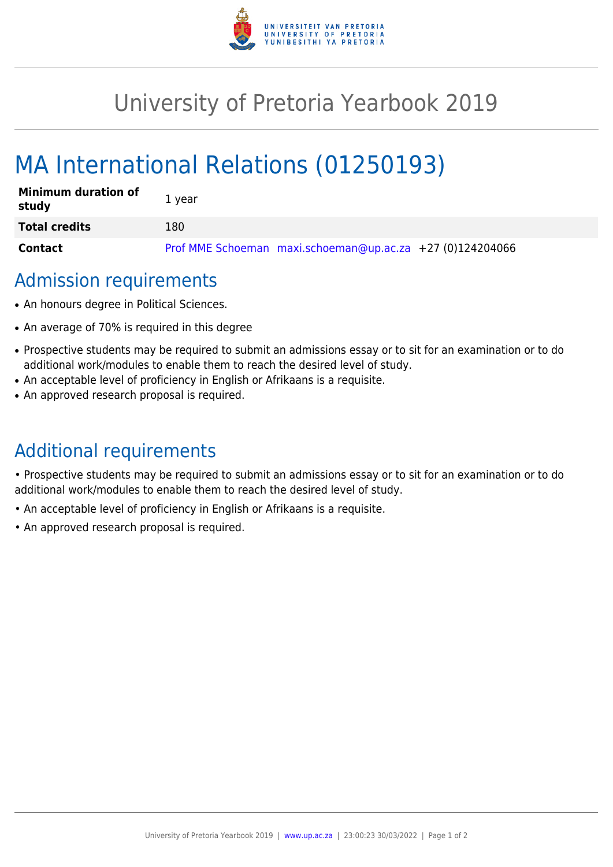

## University of Pretoria Yearbook 2019

# MA International Relations (01250193)

| <b>Minimum duration of</b><br>study | 1 year                                                    |
|-------------------------------------|-----------------------------------------------------------|
| <b>Total credits</b>                | 180                                                       |
| <b>Contact</b>                      | Prof MME Schoeman maxi.schoeman@up.ac.za +27 (0)124204066 |

### Admission requirements

- An honours degree in Political Sciences.
- An average of 70% is required in this degree
- Prospective students may be required to submit an admissions essay or to sit for an examination or to do additional work/modules to enable them to reach the desired level of study.
- An acceptable level of proficiency in English or Afrikaans is a requisite.
- An approved research proposal is required.

## Additional requirements

• Prospective students may be required to submit an admissions essay or to sit for an examination or to do additional work/modules to enable them to reach the desired level of study.

- An acceptable level of proficiency in English or Afrikaans is a requisite.
- An approved research proposal is required.